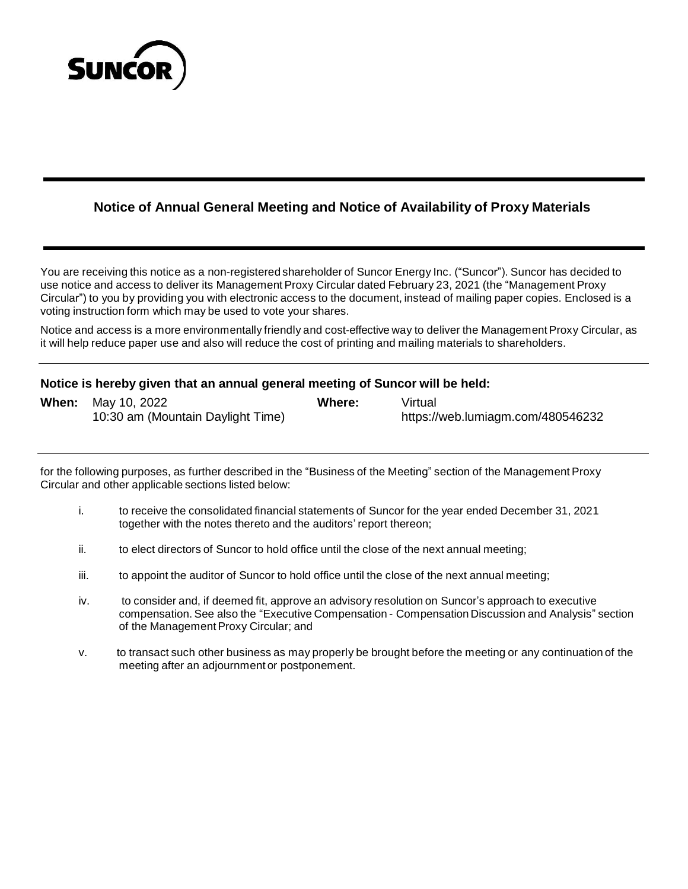

# **Notice of Annual General Meeting and Notice of Availability of Proxy Materials**

You are receiving this notice as a non-registered shareholder of Suncor Energy Inc. ("Suncor"). Suncor has decided to use notice and access to deliver its Management Proxy Circular dated February 23, 2021 (the "Management Proxy Circular") to you by providing you with electronic access to the document, instead of mailing paper copies. Enclosed is a voting instruction form which may be used to vote your shares.

Notice and access is a more environmentally friendly and cost-effective way to deliver the Management Proxy Circular, as it will help reduce paper use and also will reduce the cost of printing and mailing materials to shareholders.

### **Notice is hereby given that an annual general meeting of Suncor will be held:**

| <b>When:</b> May 10, 2022         | Where: | Virtual                           |
|-----------------------------------|--------|-----------------------------------|
| 10:30 am (Mountain Daylight Time) |        | https://web.lumiagm.com/480546232 |

for the following purposes, as further described in the "Business of the Meeting" section of the Management Proxy Circular and other applicable sections listed below:

- i. to receive the consolidated financial statements of Suncor for the year ended December 31, 2021 together with the notes thereto and the auditors' report thereon;
- ii. to elect directors of Suncor to hold office until the close of the next annual meeting;
- iii. to appoint the auditor of Suncor to hold office until the close of the next annual meeting;
- iv. to consider and, if deemed fit, approve an advisory resolution on Suncor's approach to executive compensation. See also the "Executive Compensation - Compensation Discussion and Analysis" section of the Management Proxy Circular; and
- v. to transact such other business as may properly be brought before the meeting or any continuation of the meeting after an adjournment or postponement.